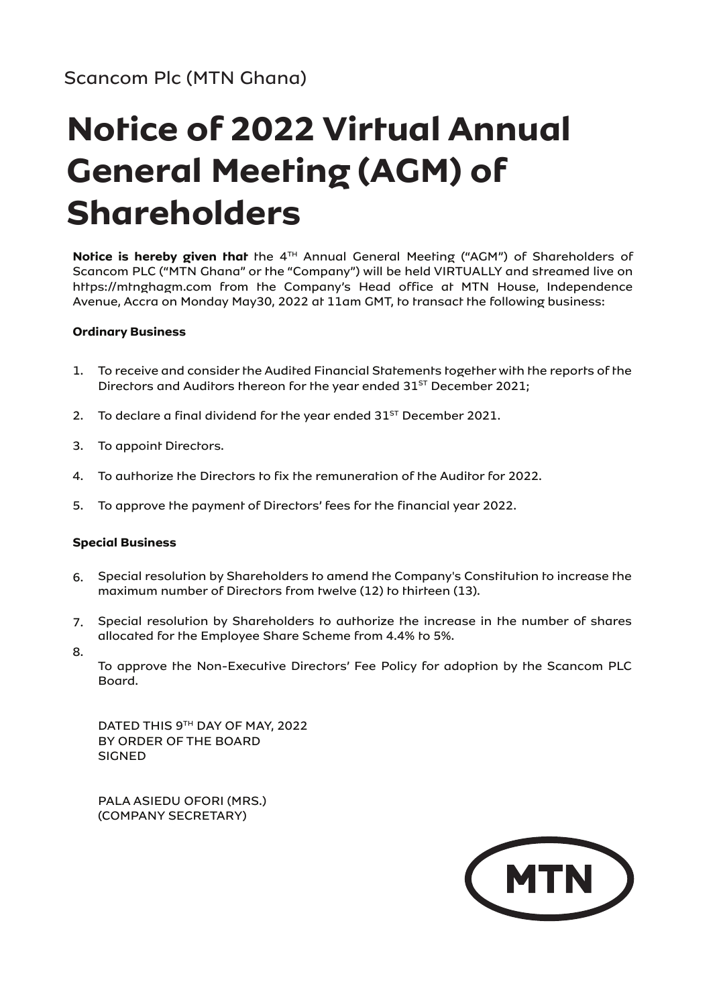# **Notice of 2022 Virtual Annual General Meeting (AGM) of Shareholders**

Notice is hereby given that the 4<sup>TH</sup> Annual General Meeting ("AGM") of Shareholders of Scancom PLC ("MTN Ghana" or the "Company") will be held VIRTUALLY and streamed live on https://mtnghagm.com from the Company's Head office at MTN House, Independence Avenue, Accra on Monday May30, 2022 at 11am GMT, to transact the following business:

## **Ordinary Business**

- 1. To receive and consider the Audited Financial Statements together with the reports of the Directors and Auditors thereon for the year ended  $31<sup>ST</sup>$  December 2021;
- 2. To declare a final dividend for the year ended  $31<sup>ST</sup>$  December 2021.
- 3. To appoint Directors.
- 4. To authorize the Directors to fix the remuneration of the Auditor for 2022.
- 5. To approve the payment of Directors' fees for the financial year 2022.

## **Special Business**

- 6. Special resolution by Shareholders to amend the Company's Constitution to increase the maximum number of Directors from twelve (12) to thirteen (13).
- 7. Special resolution by Shareholders to authorize the increase in the number of shares allocated for the Employee Share Scheme from 4.4% to 5%.
- 8.

To approve the Non-Executive Directors' Fee Policy for adoption by the Scancom PLC Board.

DATED THIS 9TH DAY OF MAY, 2022 BY ORDER OF THE BOARD SIGNED

PALA ASIEDU OFORI (MRS.) (COMPANY SECRETARY)

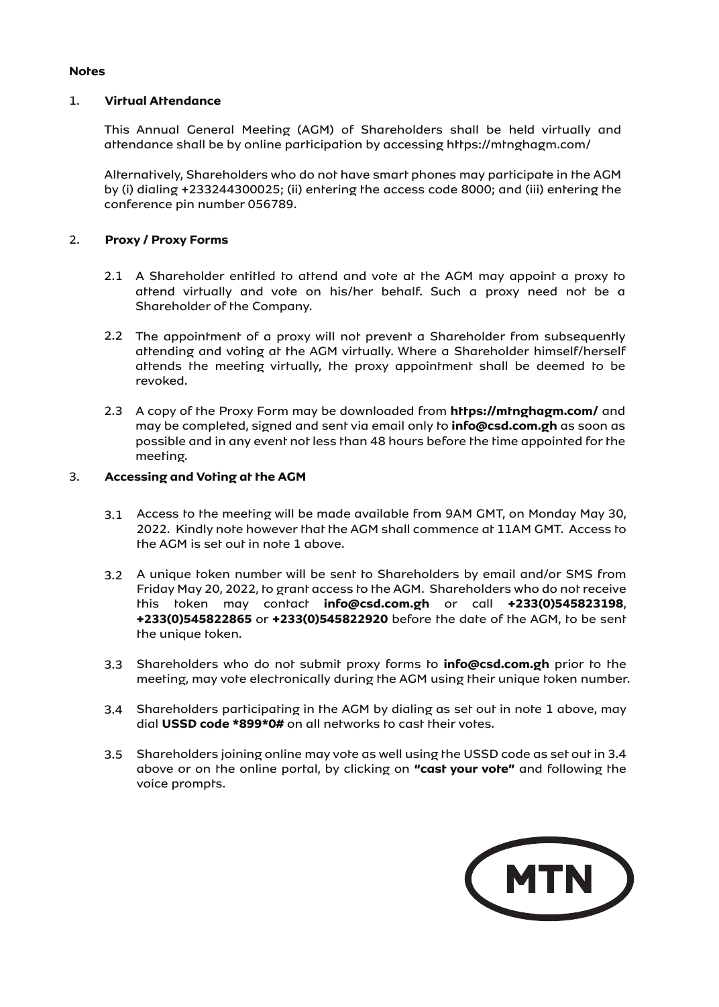## **Notes**

## 1. **Virtual Attendance**

This Annual General Meeting (AGM) of Shareholders shall be held virtually and attendance shall be by online participation by accessing https://mtnghagm.com/

Alternatively, Shareholders who do not have smart phones may participate in the AGM by (i) dialing +233244300025; (ii) entering the access code 8000; and (iii) entering the conference pin number 056789.

## 2. **Proxy / Proxy Forms**

- 2.1 A Shareholder entitled to attend and vote at the AGM may appoint a proxy to attend virtually and vote on his/her behalf. Such a proxy need not be a Shareholder of the Company.
- 2.2 The appointment of a proxy will not prevent a Shareholder from subsequently attending and voting at the AGM virtually. Where a Shareholder himself/herself attends the meeting virtually, the proxy appointment shall be deemed to be revoked.
- 2.3 A copy of the Proxy Form may be downloaded from https://mtnghagm.com/ and may be completed, signed and sent via email only to **info@csd.com.gh** as soon as possible and in any event not less than 48 hours before the time appointed for the meeting.

## 3. **Accessing and Voting at the AGM**

- 3.1 Access to the meeting will be made available from 9AM GMT, on Monday May 30, 2022. Kindly note however that the AGM shall commence at 11AM GMT. Access to the AGM is set out in note 1 above.
- 3.2 A unique token number will be sent to Shareholders by email and/or SMS from Friday May 20, 2022, to grant access to the AGM. Shareholders who do not receive this token may contact **info@csd.com.gh** or call **+233(0)545823198**, **+233(0)545822865** or **+233(0)545822920** before the date of the AGM, to be sent the unique token.
- 3.3 Shareholders who do not submit proxy forms to **info@csd.com.gh** prior to the meeting, may vote electronically during the AGM using their unique token number.
- 3.4 Shareholders participating in the AGM by dialing as set out in note 1 above, may dial **USSD code \*899\*0#** on all networks to cast their votes.
- 3.5 Shareholders joining online may vote as well using the USSD code as set out in 3.4 above or on the online portal, by clicking on **"cast your vote"** and following the voice prompts.

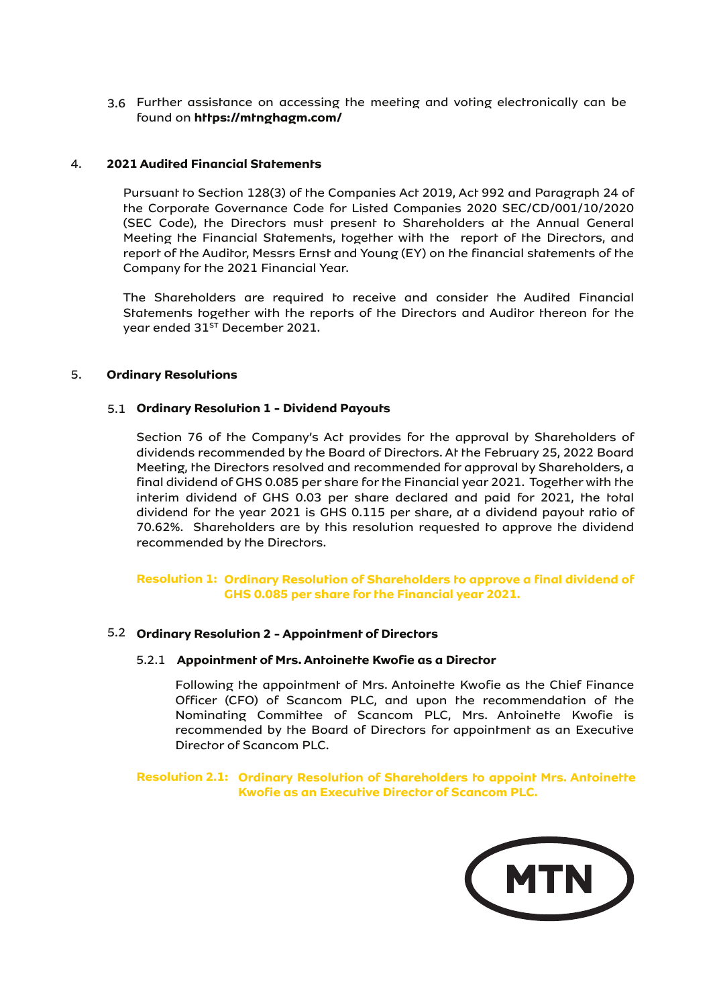3.6 Further assistance on accessing the meeting and voting electronically can be found on **https://mtnghagm.com/**

## 4. **2021 Audited Financial Statements**

Pursuant to Section 128(3) of the Companies Act 2019, Act 992 and Paragraph 24 of the Corporate Governance Code for Listed Companies 2020 SEC/CD/001/10/2020 (SEC Code), the Directors must present to Shareholders at the Annual General Meeting the Financial Statements, together with the report of the Directors, and report of the Auditor, Messrs Ernst and Young (EY) on the financial statements of the Company for the 2021 Financial Year.

The Shareholders are required to receive and consider the Audited Financial Statements together with the reports of the Directors and Auditor thereon for the year ended 31<sup>ST</sup> December 2021.

## 5. **Ordinary Resolutions**

## 5.1 **Ordinary Resolution 1 - Dividend Payouts**

Section 76 of the Company's Act provides for the approval by Shareholders of dividends recommended by the Board of Directors. At the February 25, 2022 Board Meeting, the Directors resolved and recommended for approval by Shareholders, a final dividend of GHS 0.085 per share for the Financial year 2021. Together with the interim dividend of GHS 0.03 per share declared and paid for 2021, the total dividend for the year 2021 is GHS 0.115 per share, at a dividend payout ratio of 70.62%. Shareholders are by this resolution requested to approve the dividend recommended by the Directors.

## **Resolution 1: Ordinary Resolution of Shareholders to approve a final dividend of GHS 0.085 per share for the Financial year 2021.**

## 5.2 **Ordinary Resolution 2 - Appointment of Directors**

#### 5.2.1 **Appointment of Mrs. Antoinette Kwofie as a Director**

Following the appointment of Mrs. Antoinette Kwofie as the Chief Finance Officer (CFO) of Scancom PLC, and upon the recommendation of the Nominating Committee of Scancom PLC, Mrs. Antoinette Kwofie is recommended by the Board of Directors for appointment as an Executive Director of Scancom PLC.

**Resolution 2.1: Ordinary Resolution of Shareholders to appoint Mrs. Antoinette Kwofie as an Executive Director of Scancom PLC.**

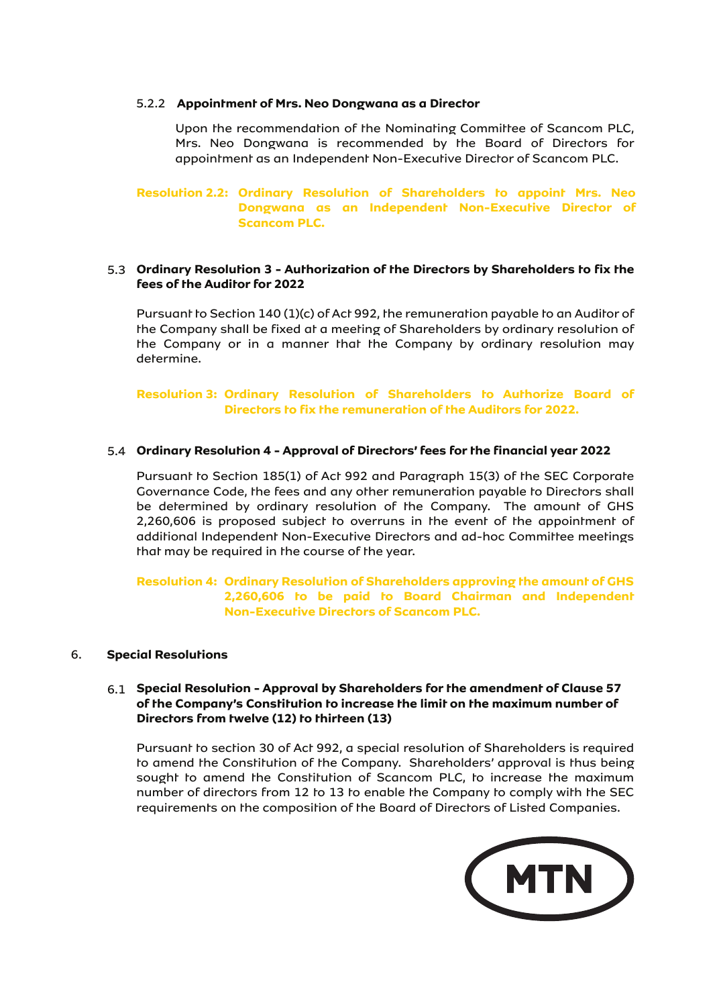#### 5.2.2 **Appointment of Mrs. Neo Dongwana as a Director**

Upon the recommendation of the Nominating Committee of Scancom PLC, Mrs. Neo Dongwana is recommended by the Board of Directors for appointment as an Independent Non-Executive Director of Scancom PLC.

**Resolution 2.2: Ordinary Resolution of Shareholders to appoint Mrs. Neo Dongwana as an Independent Non-Executive Director of Scancom PLC.**

## 5.3 **Ordinary Resolution 3 - Authorization of the Directors by Shareholders to fix the fees of the Auditor for 2022**

Pursuant to Section 140 (1)(c) of Act 992, the remuneration payable to an Auditor of the Company shall be fixed at a meeting of Shareholders by ordinary resolution of the Company or in a manner that the Company by ordinary resolution may determine.

**Resolution 3: Ordinary Resolution of Shareholders to Authorize Board of Directors to fix the remuneration of the Auditors for 2022.**

## 5.4 **Ordinary Resolution 4 - Approval of Directors' fees for the financial year 2022**

Pursuant to Section 185(1) of Act 992 and Paragraph 15(3) of the SEC Corporate Governance Code, the fees and any other remuneration payable to Directors shall be determined by ordinary resolution of the Company. The amount of GHS 2,260,606 is proposed subject to overruns in the event of the appointment of additional Independent Non-Executive Directors and ad-hoc Committee meetings that may be required in the course of the year.

## **Resolution 4: Ordinary Resolution of Shareholders approving the amount of GHS 2,260,606 to be paid to Board Chairman and Independent Non-Executive Directors of Scancom PLC.**

#### 6. **Special Resolutions**

## 6.1 **Special Resolution - Approval by Shareholders for the amendment of Clause 57 of the Company's Constitution to increase the limit on the maximum number of Directors from twelve (12) to thirteen (13)**

Pursuant to section 30 of Act 992, a special resolution of Shareholders is required to amend the Constitution of the Company. Shareholders' approval is thus being sought to amend the Constitution of Scancom PLC, to increase the maximum number of directors from 12 to 13 to enable the Company to comply with the SEC requirements on the composition of the Board of Directors of Listed Companies.